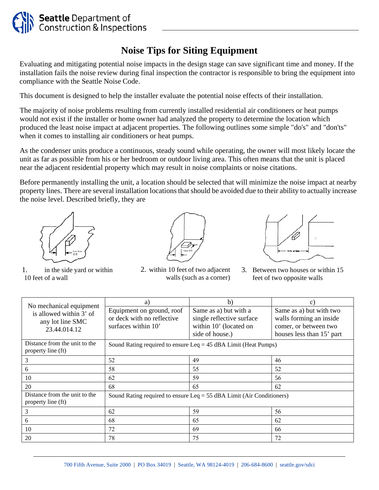

## **Noise Tips for Siting Equipment**

Evaluating and mitigating potential noise impacts in the design stage can save significant time and money. If the installation fails the noise review during final inspection the contractor is responsible to bring the equipment into compliance with the Seattle Noise Code.

This document is designed to help the installer evaluate the potential noise effects of their installation.

The majority of noise problems resulting from currently installed residential air conditioners or heat pumps would not exist if the installer or home owner had analyzed the property to determine the location which produced the least noise impact at adjacent properties. The following outlines some simple "do's" and "don'ts" when it comes to installing air conditioners or heat pumps.

As the condenser units produce a continuous, steady sound while operating, the owner will most likely locate the unit as far as possible from his or her bedroom or outdoor living area. This often means that the unit is placed near the adjacent residential property which may result in noise complaints or noise citations.

Before permanently installing the unit, a location should be selected that will minimize the noise impact at nearby property lines. There are several installation locations that should be avoided due to their ability to actually increase the noise level. Described briefly, they are



1. in the side yard or within 10 feet of a wall



2. within 10 feet of two adjacent walls (such as a corner)



3. Between two houses or within 15 feet of two opposite walls

|                                                                                        | a)                                                                             | b)                                                                                              | $\mathbf{c}$ )                                                                                           |  |
|----------------------------------------------------------------------------------------|--------------------------------------------------------------------------------|-------------------------------------------------------------------------------------------------|----------------------------------------------------------------------------------------------------------|--|
| No mechanical equipment<br>is allowed within 3' of<br>any lot line SMC<br>23.44.014.12 | Equipment on ground, roof<br>or deck with no reflective<br>surfaces within 10' | Same as a) but with a<br>single reflective surface<br>within 10' (located on<br>side of house.) | Same as a) but with two<br>walls forming an inside<br>comer, or between two<br>houses less than 15' part |  |
| Distance from the unit to the<br>property line (ft)                                    | Sound Rating required to ensure Leq $=$ 45 dBA Limit (Heat Pumps)              |                                                                                                 |                                                                                                          |  |
| 3                                                                                      | 52                                                                             | 49                                                                                              | 46                                                                                                       |  |
| 6                                                                                      | 58                                                                             | 55                                                                                              | 52<br>56                                                                                                 |  |
| 10                                                                                     | 62                                                                             | 59                                                                                              |                                                                                                          |  |
| 20                                                                                     | 68                                                                             | 65                                                                                              | 62                                                                                                       |  |
| Distance from the unit to the<br>property line (ft)                                    | Sound Rating required to ensure Leq $= 55$ dBA Limit (Air Conditioners)        |                                                                                                 |                                                                                                          |  |
| 3                                                                                      | 62                                                                             | 59                                                                                              | 56                                                                                                       |  |
| 6                                                                                      | 68                                                                             | 65                                                                                              | 62                                                                                                       |  |
| 10                                                                                     | 72                                                                             | 69                                                                                              | 66                                                                                                       |  |
| 20                                                                                     | 78                                                                             | 75                                                                                              | 72                                                                                                       |  |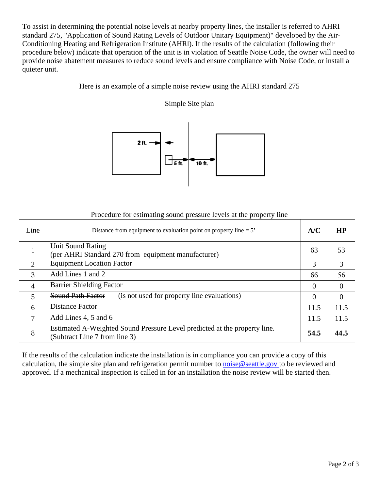To assist in determining the potential noise levels at nearby property lines, the installer is referred to AHRI standard 275, "Application of Sound Rating Levels of Outdoor Unitary Equipment)" developed by the Air-Conditioning Heating and Refrigeration Institute (AHRl). If the results of the calculation (following their procedure below) indicate that operation of the unit is in violation of Seattle Noise Code, the owner will need to provide noise abatement measures to reduce sound levels and ensure compliance with Noise Code, or install a quieter unit.

Here is an example of a simple noise review using the AHRI standard 275

## Simple Site plan



## Procedure for estimating sound pressure levels at the property line

| Line           | Distance from equipment to evaluation point on property line $= 5$                                         |          | HP       |
|----------------|------------------------------------------------------------------------------------------------------------|----------|----------|
| $\bf{I}$       | Unit Sound Rating<br>(per AHRI Standard 270 from equipment manufacturer)                                   |          | 53       |
| 2              | <b>Equipment Location Factor</b>                                                                           | 3        | 3        |
| 3              | Add Lines 1 and 2                                                                                          | 66       | 56       |
| $\overline{4}$ | <b>Barrier Shielding Factor</b>                                                                            | $\Omega$ | 0        |
| 5              | Sound Path Factor<br>(is not used for property line evaluations)                                           | $\Omega$ | $\theta$ |
| 6              | <b>Distance Factor</b>                                                                                     | 11.5     | 11.5     |
| 7              | Add Lines 4, 5 and 6                                                                                       | 11.5     | 11.5     |
| 8              | Estimated A-Weighted Sound Pressure Level predicted at the property line.<br>(Subtract Line 7 from line 3) | 54.5     | 44.5     |

If the results of the calculation indicate the installation is in compliance you can provide a copy of this calculation, the simple site plan and refrigeration permit number to noise@seattle.gov to be reviewed and approved. If a mechanical inspection is called in for an installation the noise review will be started then.